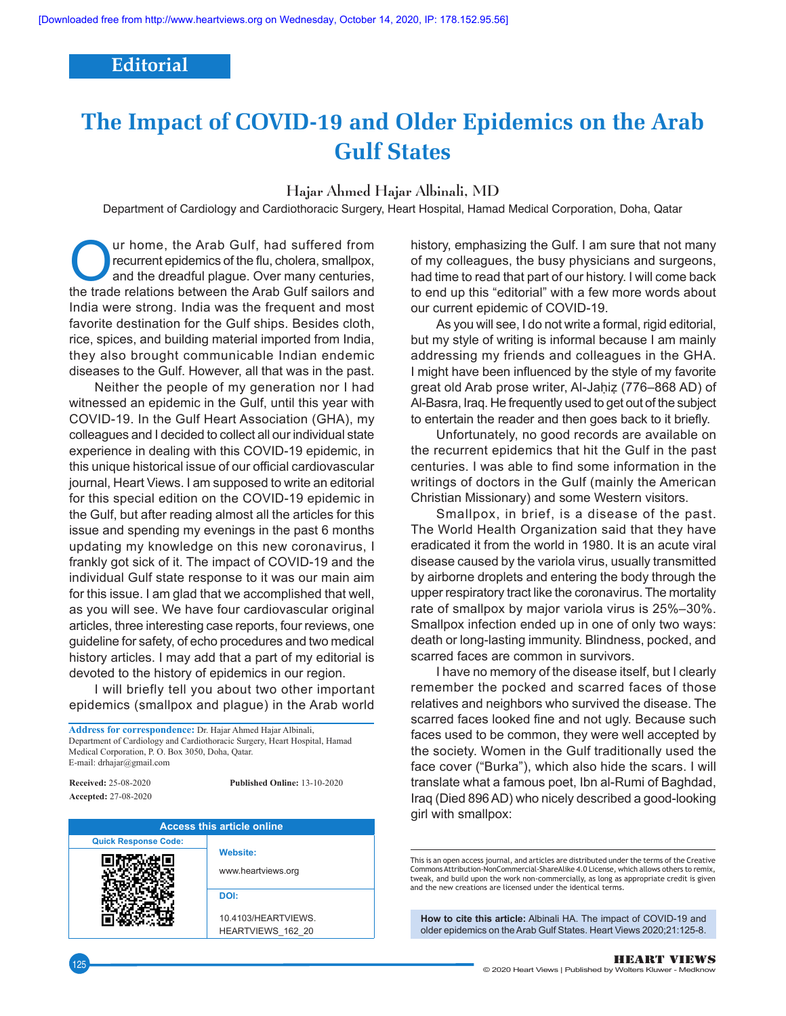## **Editorial**

## **The Impact of COVID‑19 and Older Epidemics on the Arab Gulf States**

Hajar Ahmed Hajar Albinali, MD

Department of Cardiology and Cardiothoracic Surgery, Heart Hospital, Hamad Medical Corporation, Doha, Qatar

**OUR COUR CALCE ARE CALCE ARE CALCE ARE CALCE ARE CALCE ARE CALCE ARE CALCE ARE CALCE ARE CALCE ARE CALCE ARE CALCE ARE CALCE ARE CALCE ARE CALCE ARE CALCE ARE CALCE ARE CALCE ARE CALCE ARE CALCE ARE CALCE ARE CALCE ARE CA** recurrent epidemics of the flu, cholera, smallpox, the trade relations between the Arab Gulf sailors and India were strong. India was the frequent and most favorite destination for the Gulf ships. Besides cloth, rice, spices, and building material imported from India, they also brought communicable Indian endemic diseases to the Gulf. However, all that was in the past.

Neither the people of my generation nor I had witnessed an epidemic in the Gulf, until this year with COVID-19. In the Gulf Heart Association (GHA), my colleagues and I decided to collect all our individual state experience in dealing with this COVID-19 epidemic, in this unique historical issue of our official cardiovascular journal, Heart Views. I am supposed to write an editorial for this special edition on the COVID-19 epidemic in the Gulf, but after reading almost all the articles for this issue and spending my evenings in the past 6 months updating my knowledge on this new coronavirus, I frankly got sick of it. The impact of COVID-19 and the individual Gulf state response to it was our main aim for this issue. I am glad that we accomplished that well, as you will see. We have four cardiovascular original articles, three interesting case reports, four reviews, one guideline for safety, of echo procedures and two medical history articles. I may add that a part of my editorial is devoted to the history of epidemics in our region.

I will briefly tell you about two other important epidemics (smallpox and plague) in the Arab world

**Address for correspondence:** Dr. Hajar Ahmed Hajar Albinali, Department of Cardiology and Cardiothoracic Surgery, Heart Hospital, Hamad Medical Corporation, P. O. Box 3050, Doha, Qatar. E‑mail: drhajar@gmail.com

**Received:** 25‑08‑2020 **Accepted:** 27‑08‑2020 **Published Online:** 13-10-2020



history, emphasizing the Gulf. I am sure that not many of my colleagues, the busy physicians and surgeons, had time to read that part of our history. I will come back to end up this "editorial" with a few more words about our current epidemic of COVID-19.

As you will see, I do not write a formal, rigid editorial, but my style of writing is informal because I am mainly addressing my friends and colleagues in the GHA. I might have been influenced by the style of my favorite great old Arab prose writer, Al‑Jaḥiẓ (776–868 AD) of Al-Basra, Iraq. He frequently used to get out of the subject to entertain the reader and then goes back to it briefly.

Unfortunately, no good records are available on the recurrent epidemics that hit the Gulf in the past centuries. I was able to find some information in the writings of doctors in the Gulf (mainly the American Christian Missionary) and some Western visitors.

Smallpox, in brief, is a disease of the past. The World Health Organization said that they have eradicated it from the world in 1980. It is an acute viral disease caused by the variola virus, usually transmitted by airborne droplets and entering the body through the upper respiratory tract like the coronavirus. The mortality rate of smallpox by major variola virus is 25%–30%. Smallpox infection ended up in one of only two ways: death or long-lasting immunity. Blindness, pocked, and scarred faces are common in survivors.

I have no memory of the disease itself, but I clearly remember the pocked and scarred faces of those relatives and neighbors who survived the disease. The scarred faces looked fine and not ugly. Because such faces used to be common, they were well accepted by the society. Women in the Gulf traditionally used the face cover ("Burka"), which also hide the scars. I will translate what a famous poet, Ibn al-Rumi of Baghdad, Iraq (Died 896 AD) who nicely described a good-looking girl with smallpox:

**How to cite this article:** Albinali HA. The impact of COVID-19 and older epidemics on the Arab Gulf States. Heart Views 2020;21:125-8.

This is an open access journal, and articles are distributed under the terms of the Creative Commons Attribution‑NonCommercial‑ShareAlike 4.0 License, which allows others to remix, tweak, and build upon the work non‑commercially, as long as appropriate credit is given and the new creations are licensed under the identical terms.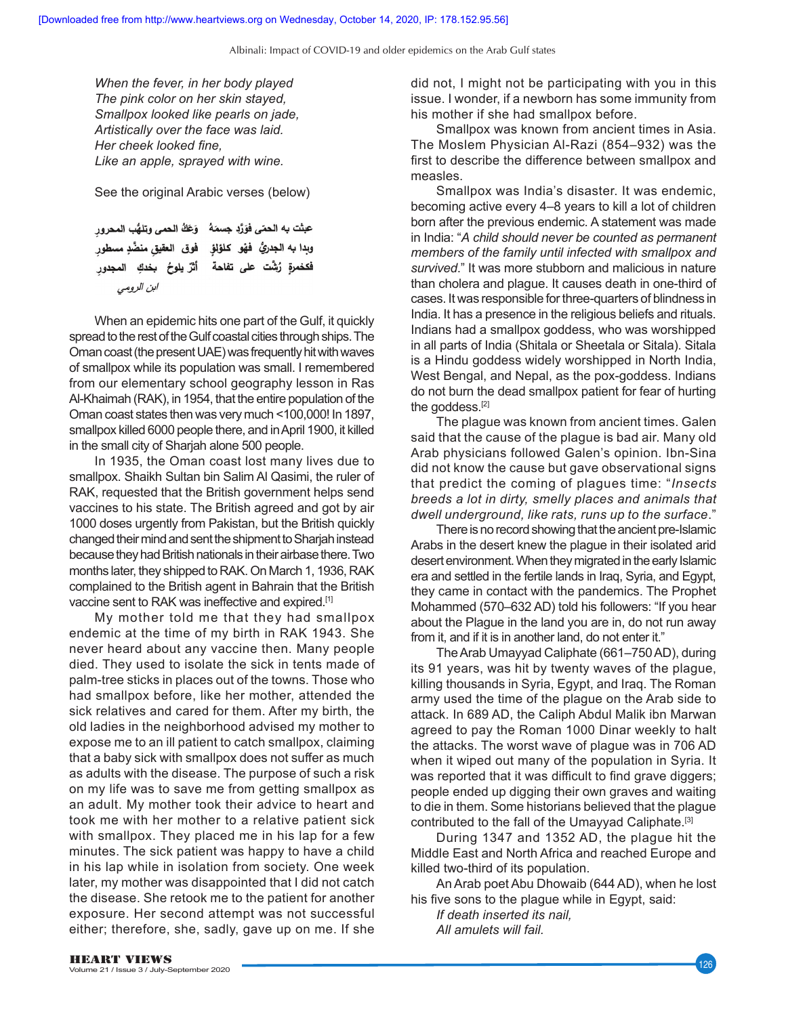Albinali: Impact of COVID‑19 and older epidemics on the Arab Gulf states

*When the fever, in her body played The pink color on her skin stayed, Smallpox looked like pearls on jade, Artistically over the face was laid. Her cheek looked fine, Like an apple, sprayed with wine.*

See the original Arabic verses (below)

عبثت به الحمّى فوَرًد جسمَهُ \_ وَعَكُ الحمى وتلهُّبِ المحرور وبِدا به الجدريُّ فهْو كلؤلؤ فوق العقيق منضَّدٍ مسطور .<br>فكخمرةٍ رُشَّت على تفاحة أَثَّرٌ يلوحُ بخدكِ المجدورِ ابن الرومي

When an epidemic hits one part of the Gulf, it quickly spread to the rest of the Gulf coastal cities through ships. The Oman coast(the present UAE) was frequently hit with waves of smallpox while its population was small. I remembered from our elementary school geography lesson in Ras Al-Khaimah (RAK), in 1954, that the entire population of the Oman coast states then was very much <100,000! In 1897, smallpox killed 6000 people there, and in April 1900, it killed in the small city of Sharjah alone 500 people.

In 1935, the Oman coast lost many lives due to smallpox. Shaikh Sultan bin Salim Al Qasimi, the ruler of RAK, requested that the British government helps send vaccines to his state. The British agreed and got by air 1000 doses urgently from Pakistan, but the British quickly changed their mind and sent the shipment to Sharjah instead because they had British nationals in their airbase there. Two months later, they shipped to RAK. On March 1, 1936, RAK complained to the British agent in Bahrain that the British vaccine sent to RAK was ineffective and expired.[1]

My mother told me that they had smallpox endemic at the time of my birth in RAK 1943. She never heard about any vaccine then. Many people died. They used to isolate the sick in tents made of palm-tree sticks in places out of the towns. Those who had smallpox before, like her mother, attended the sick relatives and cared for them. After my birth, the old ladies in the neighborhood advised my mother to expose me to an ill patient to catch smallpox, claiming that a baby sick with smallpox does not suffer as much as adults with the disease. The purpose of such a risk on my life was to save me from getting smallpox as an adult. My mother took their advice to heart and took me with her mother to a relative patient sick with smallpox. They placed me in his lap for a few minutes. The sick patient was happy to have a child in his lap while in isolation from society. One week later, my mother was disappointed that I did not catch the disease. She retook me to the patient for another exposure. Her second attempt was not successful either; therefore, she, sadly, gave up on me. If she

did not, I might not be participating with you in this issue. I wonder, if a newborn has some immunity from his mother if she had smallpox before.

Smallpox was known from ancient times in Asia. The Moslem Physician Al-Razi (854–932) was the first to describe the difference between smallpox and measles.

Smallpox was India's disaster. It was endemic, becoming active every 4–8 years to kill a lot of children born after the previous endemic. A statement was made in India: "*A child should never be counted as permanent members of the family until infected with smallpox and survived*." It was more stubborn and malicious in nature than cholera and plague. It causes death in one-third of cases. It was responsible for three-quarters of blindness in India. It has a presence in the religious beliefs and rituals. Indians had a smallpox goddess, who was worshipped in all parts of India (Shitala or Sheetala or Sitala). Sitala is a Hindu goddess widely worshipped in North India, West Bengal, and Nepal, as the pox-goddess. Indians do not burn the dead smallpox patient for fear of hurting the goddess.<sup>[2]</sup>

The plague was known from ancient times. Galen said that the cause of the plague is bad air. Many old Arab physicians followed Galen's opinion. Ibn-Sina did not know the cause but gave observational signs that predict the coming of plagues time: "*Insects breeds a lot in dirty, smelly places and animals that dwell underground, like rats, runs up to the surface*."

There is no record showing that the ancient pre-Islamic Arabs in the desert knew the plague in their isolated arid desert environment. When they migrated in the early Islamic era and settled in the fertile lands in Iraq, Syria, and Egypt, they came in contact with the pandemics. The Prophet Mohammed (570–632 AD) told his followers: "If you hear about the Plague in the land you are in, do not run away from it, and if it is in another land, do not enter it."

The Arab Umayyad Caliphate (661–750 AD), during its 91 years, was hit by twenty waves of the plague, killing thousands in Syria, Egypt, and Iraq. The Roman army used the time of the plague on the Arab side to attack. In 689 AD, the Caliph Abdul Malik ibn Marwan agreed to pay the Roman 1000 Dinar weekly to halt the attacks. The worst wave of plague was in 706 AD when it wiped out many of the population in Syria. It was reported that it was difficult to find grave diggers; people ended up digging their own graves and waiting to die in them. Some historians believed that the plague contributed to the fall of the Umayyad Caliphate.[3]

During 1347 and 1352 AD, the plague hit the Middle East and North Africa and reached Europe and killed two-third of its population.

An Arab poet Abu Dhowaib (644 AD), when he lost his five sons to the plague while in Egypt, said:

*If death inserted its nail, All amulets will fail.*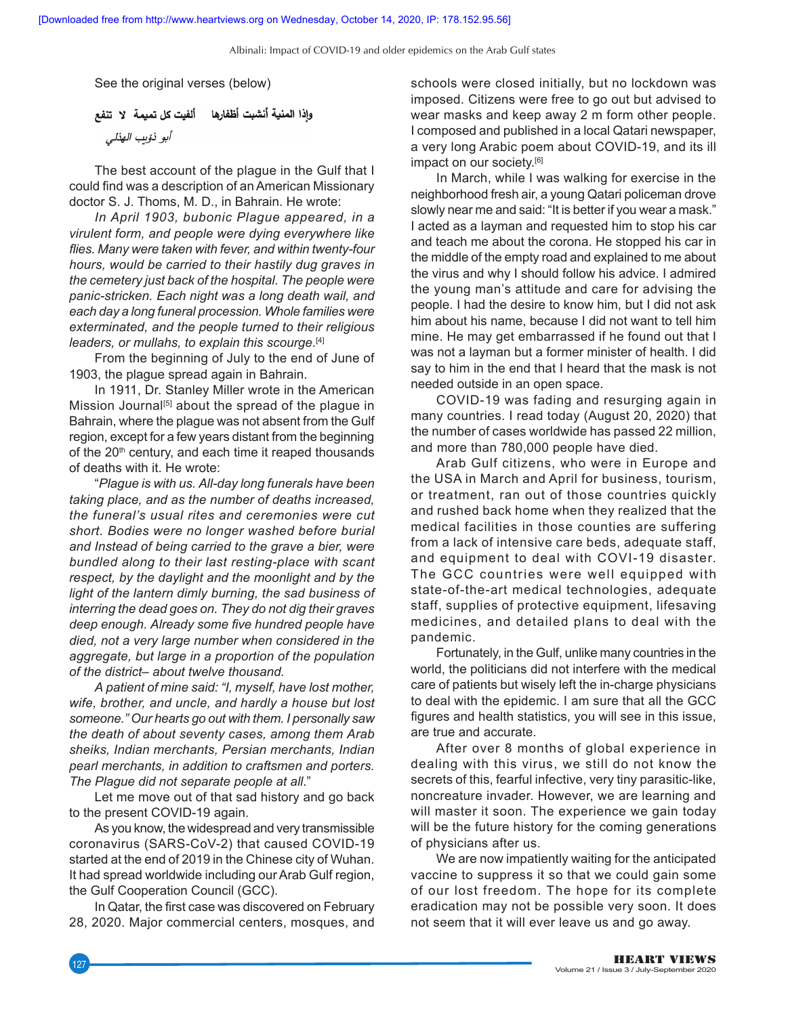Albinali: Impact of COVID‑19 and older epidemics on the Arab Gulf states

See the original verses (below)

وإذا المنية أنشبت أظفارها ألفيت كل تميمة لا تنفع أبو ذؤيب الهذلي

The best account of the plague in the Gulf that I could find was a description of an American Missionary doctor S. J. Thoms, M. D., in Bahrain. He wrote:

*In April 1903, bubonic Plague appeared, in a virulent form, and people were dying everywhere like flies. Many were taken with fever, and within twenty‑four hours, would be carried to their hastily dug graves in the cemetery just back of the hospital. The people were panic‑stricken. Each night was a long death wail, and each day a long funeral procession. Whole families were exterminated, and the people turned to their religious leaders, or mullahs, to explain this scourge.*[4]

From the beginning of July to the end of June of 1903, the plague spread again in Bahrain.

In 1911, Dr. Stanley Miller wrote in the American Mission Journal<sup>[5]</sup> about the spread of the plague in Bahrain, where the plague was not absent from the Gulf region, except for a few years distant from the beginning of the  $20<sup>th</sup>$  century, and each time it reaped thousands of deaths with it. He wrote:

"*Plague is with us. All‑day long funerals have been taking place, and as the number of deaths increased, the funeral's usual rites and ceremonies were cut short. Bodies were no longer washed before burial and Instead of being carried to the grave a bier, were bundled along to their last resting‑place with scant respect, by the daylight and the moonlight and by the light of the lantern dimly burning, the sad business of interring the dead goes on. They do not dig their graves deep enough. Already some five hundred people have died, not a very large number when considered in the aggregate, but large in a proportion of the population of the district– about twelve thousand.*

*A patient of mine said: "I, myself, have lost mother, wife, brother, and uncle, and hardly a house but lost someone." Our hearts go out with them. I personally saw the death of about seventy cases, among them Arab sheiks, Indian merchants, Persian merchants, Indian pearl merchants, in addition to craftsmen and porters. The Plague did not separate people at all*."

Let me move out of that sad history and go back to the present COVID-19 again.

As you know, the widespread and very transmissible coronavirus (SARS-CoV-2) that caused COVID-19 started at the end of 2019 in the Chinese city of Wuhan. It had spread worldwide including our Arab Gulf region, the Gulf Cooperation Council (GCC).

In Qatar, the first case was discovered on February 28, 2020. Major commercial centers, mosques, and schools were closed initially, but no lockdown was imposed. Citizens were free to go out but advised to wear masks and keep away 2 m form other people. I composed and published in a local Qatari newspaper, a very long Arabic poem about COVID-19, and its ill impact on our society.<sup>[6]</sup>

In March, while I was walking for exercise in the neighborhood fresh air, a young Qatari policeman drove slowly near me and said: "It is better if you wear a mask." I acted as a layman and requested him to stop his car and teach me about the corona. He stopped his car in the middle of the empty road and explained to me about the virus and why I should follow his advice. I admired the young man's attitude and care for advising the people. I had the desire to know him, but I did not ask him about his name, because I did not want to tell him mine. He may get embarrassed if he found out that I was not a layman but a former minister of health. I did say to him in the end that I heard that the mask is not needed outside in an open space.

COVID-19 was fading and resurging again in many countries. I read today (August 20, 2020) that the number of cases worldwide has passed 22 million, and more than 780,000 people have died.

Arab Gulf citizens, who were in Europe and the USA in March and April for business, tourism, or treatment, ran out of those countries quickly and rushed back home when they realized that the medical facilities in those counties are suffering from a lack of intensive care beds, adequate staff, and equipment to deal with COVI-19 disaster. The GCC countries were well equipped with state-of-the-art medical technologies, adequate staff, supplies of protective equipment, lifesaving medicines, and detailed plans to deal with the pandemic.

Fortunately, in the Gulf, unlike many countries in the world, the politicians did not interfere with the medical care of patients but wisely left the in-charge physicians to deal with the epidemic. I am sure that all the GCC figures and health statistics, you will see in this issue, are true and accurate.

After over 8 months of global experience in dealing with this virus, we still do not know the secrets of this, fearful infective, very tiny parasitic-like, noncreature invader. However, we are learning and will master it soon. The experience we gain today will be the future history for the coming generations of physicians after us.

We are now impatiently waiting for the anticipated vaccine to suppress it so that we could gain some of our lost freedom. The hope for its complete eradication may not be possible very soon. It does not seem that it will ever leave us and go away.